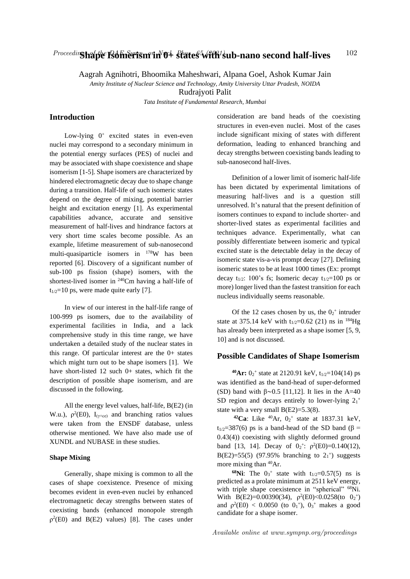# Proceedin**g halple Rolinerism in 0+** states<sup>5</sup> with sub-nano second half-lives  $102$

Aagrah Agnihotri, Bhoomika Maheshwari, Alpana Goel, Ashok Kumar Jain

*Amity Institute of Nuclear Science and Technology, Amity University Uttar Pradesh, NOIDA*

Rudrajyoti Palit

*Tata Institute of Fundamental Research, Mumbai*

## **Introduction**

Low-lying  $0^+$  excited states in even-even nuclei may correspond to a secondary minimum in the potential energy surfaces (PES) of nuclei and may be associated with shape coexistence and shape isomerism [1-5]. Shape isomers are characterized by hindered electromagnetic decay due to shape change during a transition. Half-life of such isomeric states depend on the degree of mixing, potential barrier height and excitation energy [1]. As experimental capabilities advance, accurate and sensitive measurement of half-lives and hindrance factors at very short time scales become possible. As an example, lifetime measurement of sub-nanosecond multi-quasiparticle isomers in <sup>178</sup>W has been reported [6]. Discovery of a significant number of sub-100 ps fission (shape) isomers, with the shortest-lived isomer in <sup>240</sup>Cm having a half-life of  $t_{1/2}=10$  ps, were made quite early [7].

In view of our interest in the half-life range of 100-999 ps isomers, due to the availability of experimental facilities in India, and a lack comprehensive study in this time range, we have undertaken a detailed study of the nuclear states in this range. Of particular interest are the 0+ states which might turn out to be shape isomers [1]. We have short-listed 12 such 0+ states, which fit the description of possible shape isomerism, and are discussed in the following.

All the energy level values, half-life, B(E2) (in W.u.),  $\rho^2(E0)$ ,  $I_{(\gamma + ce)}$  and branching ratios values were taken from the ENSDF database, unless otherwise mentioned. We have also made use of XUNDL and NUBASE in these studies.

#### **Shape Mixing**

Generally, shape mixing is common to all the cases of shape coexistence. Presence of mixing becomes evident in even-even nuclei by enhanced electromagnetic decay strengths between states of coexisting bands (enhanced monopole strength  $p^2(E0)$  and B(E2) values) [8]. The cases under consideration are band heads of the coexisting structures in even-even nuclei. Most of the cases include significant mixing of states with different deformation, leading to enhanced branching and decay strengths between coexisting bands leading to sub-nanosecond half-lives.

Definition of a lower limit of isomeric half-life has been dictated by experimental limitations of measuring half-lives and is a question still unresolved. It's natural that the present definition of isomers continues to expand to include shorter- and shorter-lived states as experimental facilities and techniques advance. Experimentally, what can possibly differentiate between isomeric and typical excited state is the detectable delay in the decay of isomeric state vis-a-vis prompt decay [27]. Defining isomeric states to be at least 1000 times (Ex: prompt decay t<sub>1/2</sub>: 100's fs; Isomeric decay t<sub>1/2</sub>=100 ps or more) longer lived than the fastest transition for each nucleus individually seems reasonable.

Of the 12 cases chosen by us, the  $0<sub>2</sub>$ <sup>+</sup> intruder state at 375.14 keV with  $t_{1/2}$ =0.62 (21) ns in <sup>184</sup>Hg has already been interpreted as a shape isomer [5, 9, 10] and is not discussed.

### **Possible Candidates of Shape Isomerism**

 $^{40}Ar: 0_2^+$  state at 2120.91 keV, t<sub>1/2</sub>=104(14) ps was identified as the band-head of super-deformed (SD) band with  $β~0.5$  [11,12]. It lies in the A=40 SD region and decays entirely to lower-lying  $2_1$ <sup>+</sup> state with a very small  $B(E2)=5.3(8)$ .

<sup>42</sup>**Ca**: Like <sup>40</sup>Ar,  $0_2$ <sup>+</sup> state at 1837.31 keV, t<sub>1/2</sub>=387(6) ps is a band-head of the SD band ( $\beta$  = 0.43(4)) coexisting with slightly deformed ground band [13, 14]. Decay of  $0_2$ <sup>+</sup>:  $\rho^2(E0)=0.140(12)$ , B(E2)=55(5) (97.95% branching to  $2<sub>1</sub>$ <sup>+</sup>) suggests more mixing than <sup>40</sup>Ar.

**68Ni:** The  $0_3$ <sup>+</sup> state with  $t_{1/2}$ =0.57(5) ns is predicted as a prolate minimum at 2511 keV energy, with triple shape coexistence in "spherical" <sup>68</sup>Ni. With B(E2)=0.00390(34),  $\rho^2$ (E0)<0.0258(to 0<sub>2</sub><sup>+</sup>) and  $\rho^2(E0)$  < 0.0050 (to  $0_1^{\text{+}}$ ),  $0_3^{\text{+}}$  makes a good candidate for a shape isomer.

Available online at www.sympnp.org/proceedings